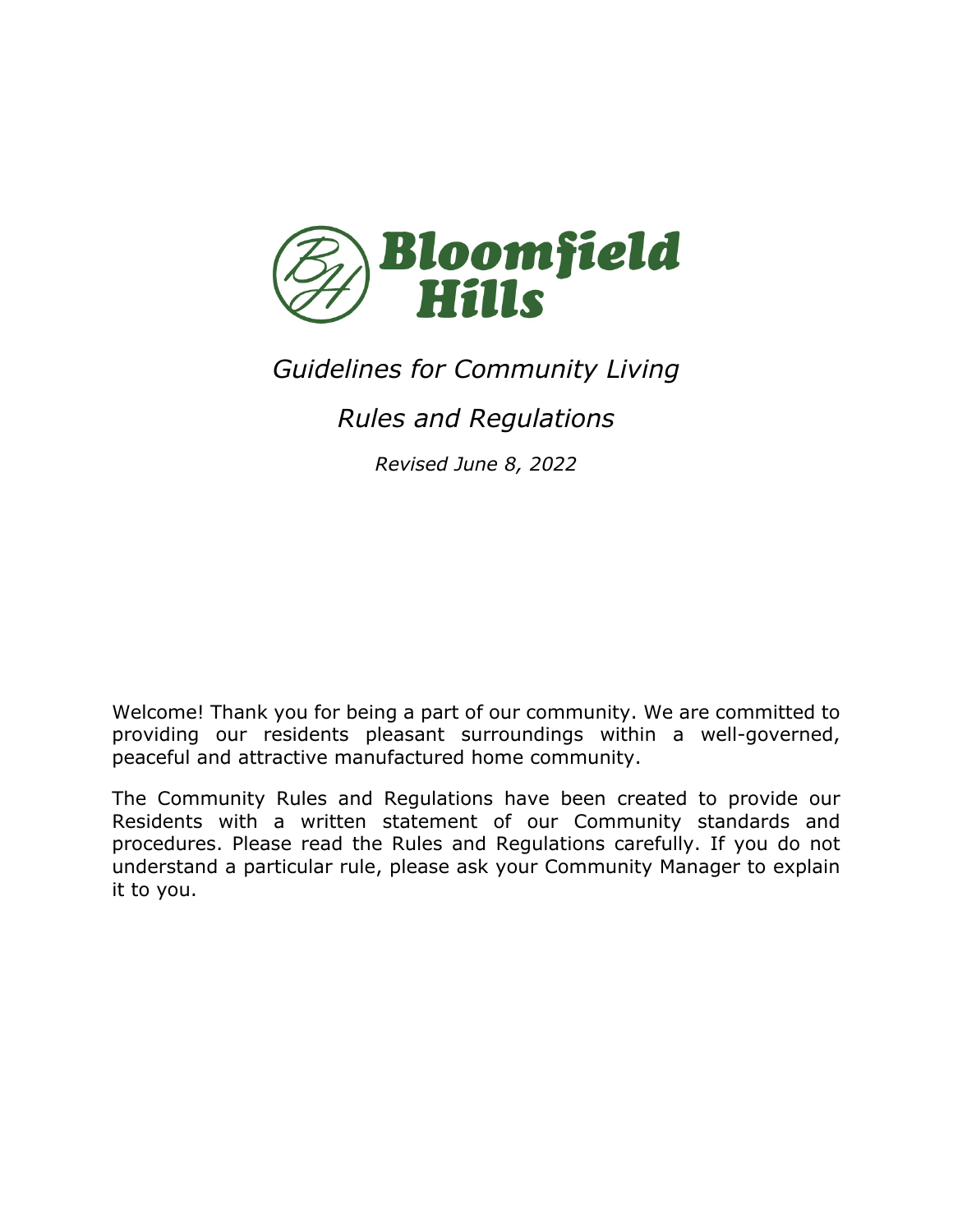

# *Guidelines for Community Living*

# *Rules and Regulations*

*Revised June 8, 2022*

Welcome! Thank you for being a part of our community. We are committed to providing our residents pleasant surroundings within a well-governed, peaceful and attractive manufactured home community.

The Community Rules and Regulations have been created to provide our Residents with a written statement of our Community standards and procedures. Please read the Rules and Regulations carefully. If you do not understand a particular rule, please ask your Community Manager to explain it to you.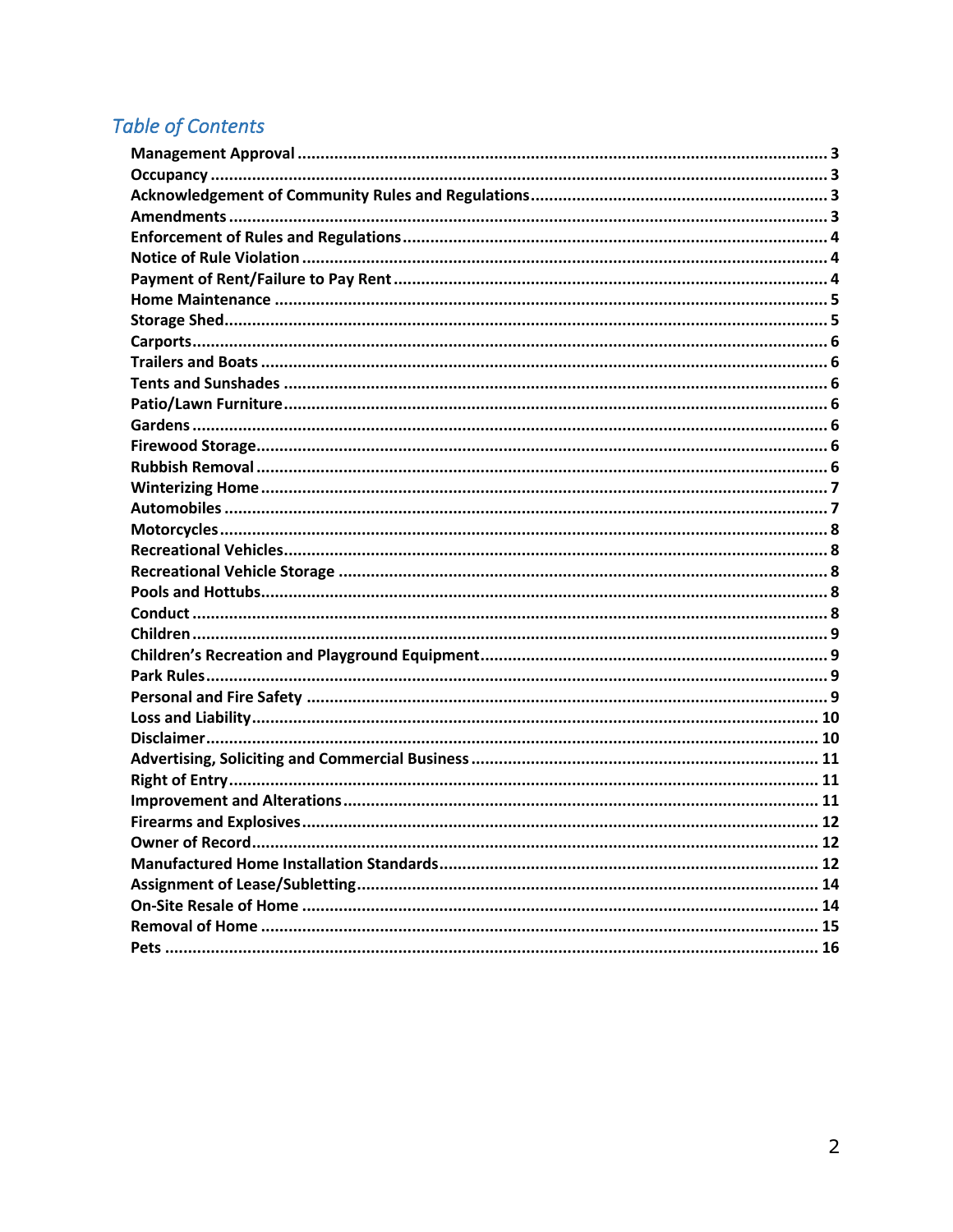# **Table of Contents**

| <b>Owner of Record.</b> |  |
|-------------------------|--|
|                         |  |
|                         |  |
|                         |  |
|                         |  |
|                         |  |
|                         |  |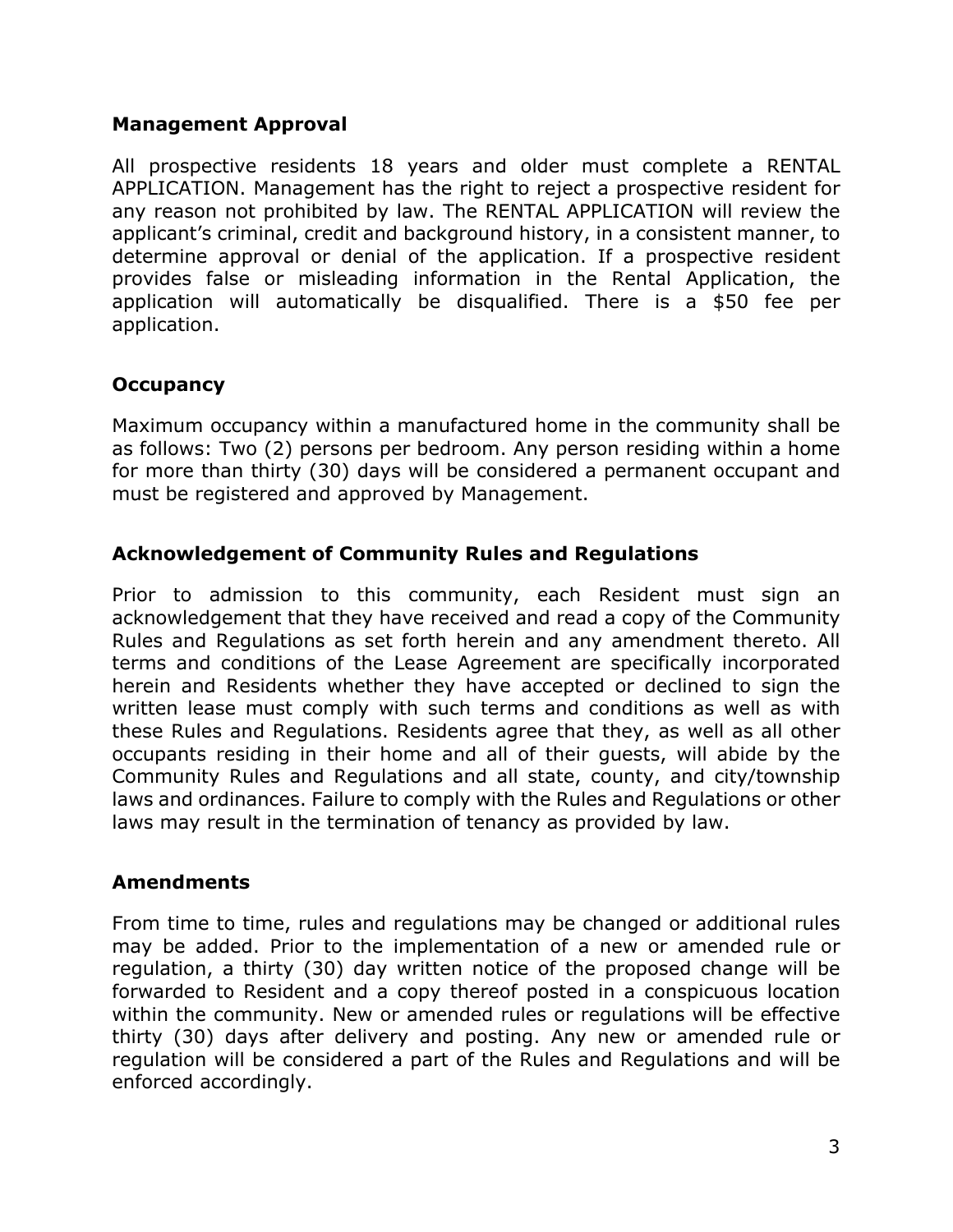#### **Management Approval**

All prospective residents 18 years and older must complete a RENTAL APPLICATION. Management has the right to reject a prospective resident for any reason not prohibited by law. The RENTAL APPLICATION will review the applicant's criminal, credit and background history, in a consistent manner, to determine approval or denial of the application. If a prospective resident provides false or misleading information in the Rental Application, the application will automatically be disqualified. There is a \$50 fee per application.

#### **Occupancy**

Maximum occupancy within a manufactured home in the community shall be as follows: Two (2) persons per bedroom. Any person residing within a home for more than thirty (30) days will be considered a permanent occupant and must be registered and approved by Management.

#### **Acknowledgement of Community Rules and Regulations**

Prior to admission to this community, each Resident must sign an acknowledgement that they have received and read a copy of the Community Rules and Regulations as set forth herein and any amendment thereto. All terms and conditions of the Lease Agreement are specifically incorporated herein and Residents whether they have accepted or declined to sign the written lease must comply with such terms and conditions as well as with these Rules and Regulations. Residents agree that they, as well as all other occupants residing in their home and all of their guests, will abide by the Community Rules and Regulations and all state, county, and city/township laws and ordinances. Failure to comply with the Rules and Regulations or other laws may result in the termination of tenancy as provided by law.

#### **Amendments**

From time to time, rules and regulations may be changed or additional rules may be added. Prior to the implementation of a new or amended rule or regulation, a thirty (30) day written notice of the proposed change will be forwarded to Resident and a copy thereof posted in a conspicuous location within the community. New or amended rules or regulations will be effective thirty (30) days after delivery and posting. Any new or amended rule or regulation will be considered a part of the Rules and Regulations and will be enforced accordingly.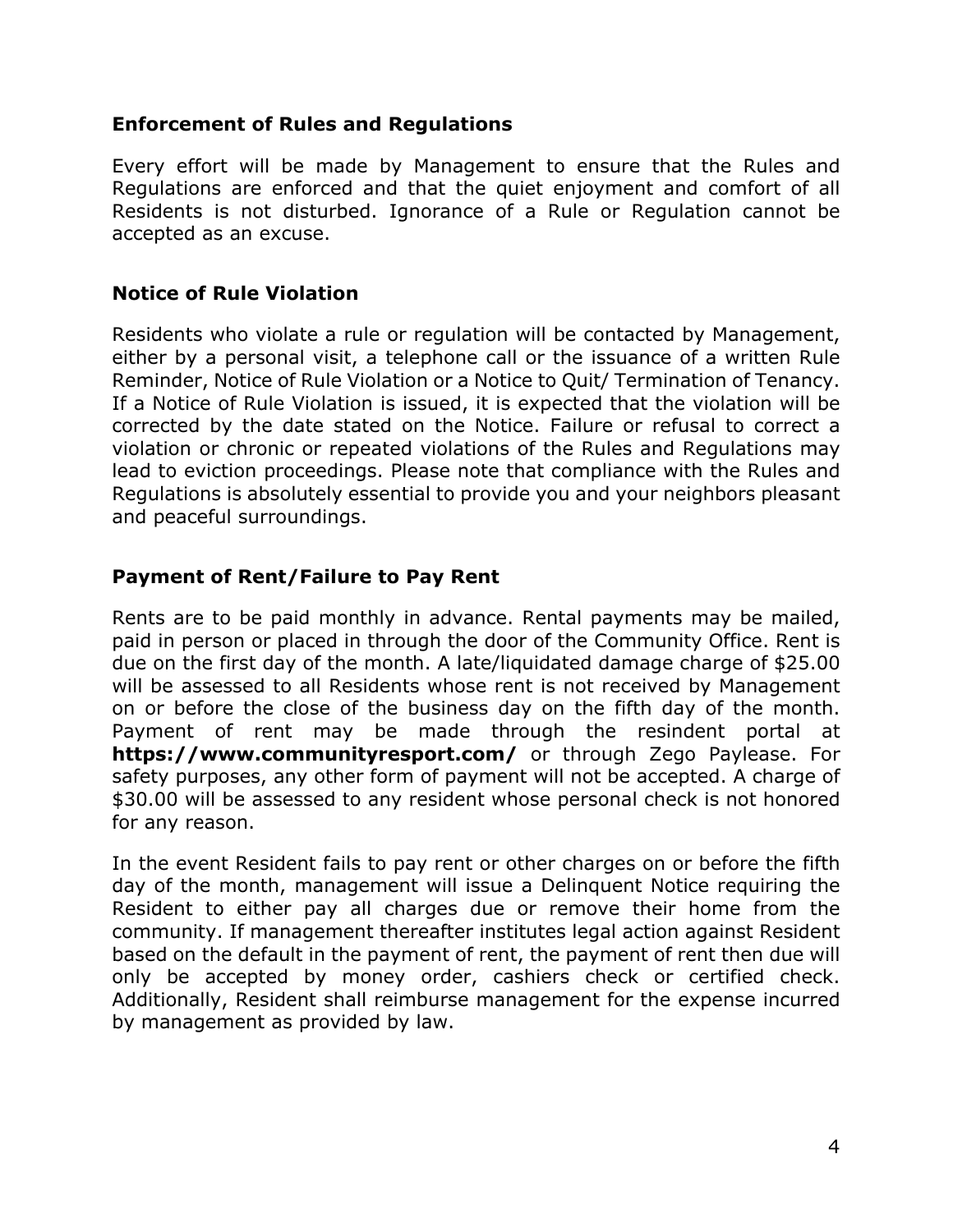#### **Enforcement of Rules and Regulations**

Every effort will be made by Management to ensure that the Rules and Regulations are enforced and that the quiet enjoyment and comfort of all Residents is not disturbed. Ignorance of a Rule or Regulation cannot be accepted as an excuse.

### **Notice of Rule Violation**

Residents who violate a rule or regulation will be contacted by Management, either by a personal visit, a telephone call or the issuance of a written Rule Reminder, Notice of Rule Violation or a Notice to Quit/ Termination of Tenancy. If a Notice of Rule Violation is issued, it is expected that the violation will be corrected by the date stated on the Notice. Failure or refusal to correct a violation or chronic or repeated violations of the Rules and Regulations may lead to eviction proceedings. Please note that compliance with the Rules and Regulations is absolutely essential to provide you and your neighbors pleasant and peaceful surroundings.

# **Payment of Rent/Failure to Pay Rent**

Rents are to be paid monthly in advance. Rental payments may be mailed, paid in person or placed in through the door of the Community Office. Rent is due on the first day of the month. A late/liquidated damage charge of \$25.00 will be assessed to all Residents whose rent is not received by Management on or before the close of the business day on the fifth day of the month. Payment of rent may be made through the resindent portal at **https://www.communityresport.com/** or through Zego Paylease. For safety purposes, any other form of payment will not be accepted. A charge of \$30.00 will be assessed to any resident whose personal check is not honored for any reason.

In the event Resident fails to pay rent or other charges on or before the fifth day of the month, management will issue a Delinquent Notice requiring the Resident to either pay all charges due or remove their home from the community. If management thereafter institutes legal action against Resident based on the default in the payment of rent, the payment of rent then due will only be accepted by money order, cashiers check or certified check. Additionally, Resident shall reimburse management for the expense incurred by management as provided by law.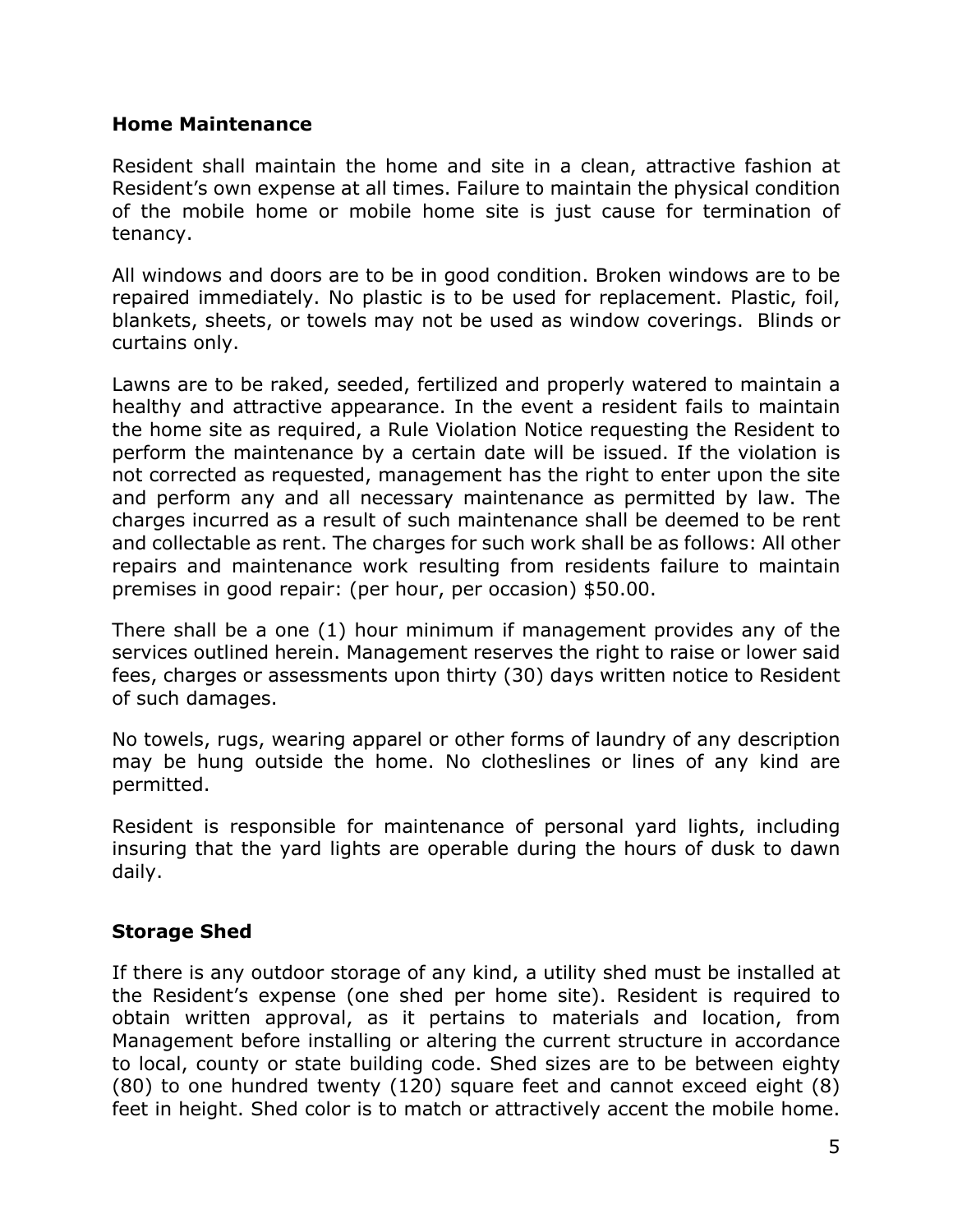#### **Home Maintenance**

Resident shall maintain the home and site in a clean, attractive fashion at Resident's own expense at all times. Failure to maintain the physical condition of the mobile home or mobile home site is just cause for termination of tenancy.

All windows and doors are to be in good condition. Broken windows are to be repaired immediately. No plastic is to be used for replacement. Plastic, foil, blankets, sheets, or towels may not be used as window coverings. Blinds or curtains only.

Lawns are to be raked, seeded, fertilized and properly watered to maintain a healthy and attractive appearance. In the event a resident fails to maintain the home site as required, a Rule Violation Notice requesting the Resident to perform the maintenance by a certain date will be issued. If the violation is not corrected as requested, management has the right to enter upon the site and perform any and all necessary maintenance as permitted by law. The charges incurred as a result of such maintenance shall be deemed to be rent and collectable as rent. The charges for such work shall be as follows: All other repairs and maintenance work resulting from residents failure to maintain premises in good repair: (per hour, per occasion) \$50.00.

There shall be a one (1) hour minimum if management provides any of the services outlined herein. Management reserves the right to raise or lower said fees, charges or assessments upon thirty (30) days written notice to Resident of such damages.

No towels, rugs, wearing apparel or other forms of laundry of any description may be hung outside the home. No clotheslines or lines of any kind are permitted.

Resident is responsible for maintenance of personal yard lights, including insuring that the yard lights are operable during the hours of dusk to dawn daily.

# **Storage Shed**

If there is any outdoor storage of any kind, a utility shed must be installed at the Resident's expense (one shed per home site). Resident is required to obtain written approval, as it pertains to materials and location, from Management before installing or altering the current structure in accordance to local, county or state building code. Shed sizes are to be between eighty (80) to one hundred twenty (120) square feet and cannot exceed eight (8) feet in height. Shed color is to match or attractively accent the mobile home.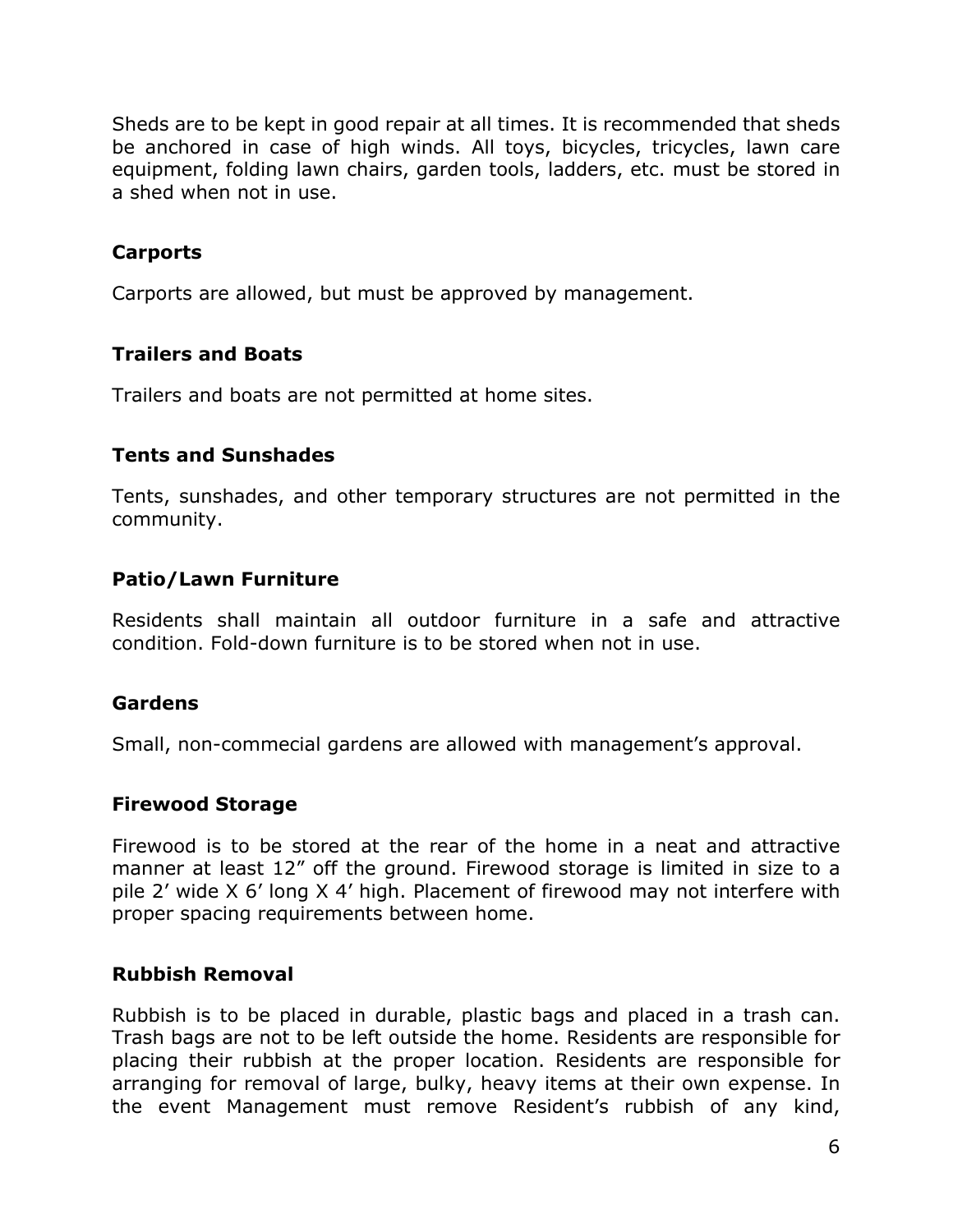Sheds are to be kept in good repair at all times. It is recommended that sheds be anchored in case of high winds. All toys, bicycles, tricycles, lawn care equipment, folding lawn chairs, garden tools, ladders, etc. must be stored in a shed when not in use.

# **Carports**

Carports are allowed, but must be approved by management.

#### **Trailers and Boats**

Trailers and boats are not permitted at home sites.

#### **Tents and Sunshades**

Tents, sunshades, and other temporary structures are not permitted in the community.

#### **Patio/Lawn Furniture**

Residents shall maintain all outdoor furniture in a safe and attractive condition. Fold-down furniture is to be stored when not in use.

#### **Gardens**

Small, non-commecial gardens are allowed with management's approval.

#### **Firewood Storage**

Firewood is to be stored at the rear of the home in a neat and attractive manner at least 12" off the ground. Firewood storage is limited in size to a pile 2' wide X 6' long X 4' high. Placement of firewood may not interfere with proper spacing requirements between home.

#### **Rubbish Removal**

Rubbish is to be placed in durable, plastic bags and placed in a trash can. Trash bags are not to be left outside the home. Residents are responsible for placing their rubbish at the proper location. Residents are responsible for arranging for removal of large, bulky, heavy items at their own expense. In the event Management must remove Resident's rubbish of any kind,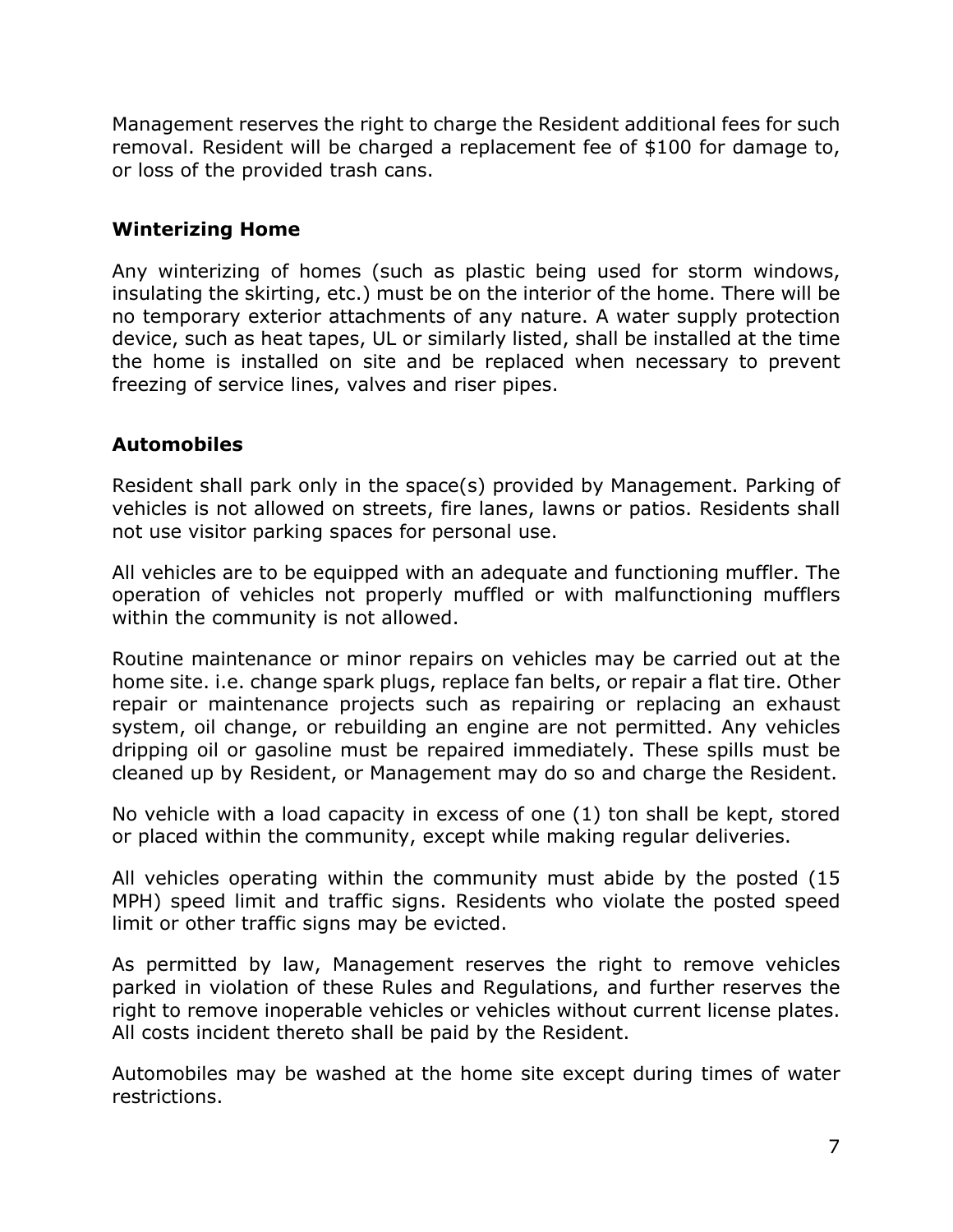Management reserves the right to charge the Resident additional fees for such removal. Resident will be charged a replacement fee of \$100 for damage to, or loss of the provided trash cans.

# **Winterizing Home**

Any winterizing of homes (such as plastic being used for storm windows, insulating the skirting, etc.) must be on the interior of the home. There will be no temporary exterior attachments of any nature. A water supply protection device, such as heat tapes, UL or similarly listed, shall be installed at the time the home is installed on site and be replaced when necessary to prevent freezing of service lines, valves and riser pipes.

# **Automobiles**

Resident shall park only in the space(s) provided by Management. Parking of vehicles is not allowed on streets, fire lanes, lawns or patios. Residents shall not use visitor parking spaces for personal use.

All vehicles are to be equipped with an adequate and functioning muffler. The operation of vehicles not properly muffled or with malfunctioning mufflers within the community is not allowed.

Routine maintenance or minor repairs on vehicles may be carried out at the home site. i.e. change spark plugs, replace fan belts, or repair a flat tire. Other repair or maintenance projects such as repairing or replacing an exhaust system, oil change, or rebuilding an engine are not permitted. Any vehicles dripping oil or gasoline must be repaired immediately. These spills must be cleaned up by Resident, or Management may do so and charge the Resident.

No vehicle with a load capacity in excess of one (1) ton shall be kept, stored or placed within the community, except while making regular deliveries.

All vehicles operating within the community must abide by the posted (15 MPH) speed limit and traffic signs. Residents who violate the posted speed limit or other traffic signs may be evicted.

As permitted by law, Management reserves the right to remove vehicles parked in violation of these Rules and Regulations, and further reserves the right to remove inoperable vehicles or vehicles without current license plates. All costs incident thereto shall be paid by the Resident.

Automobiles may be washed at the home site except during times of water restrictions.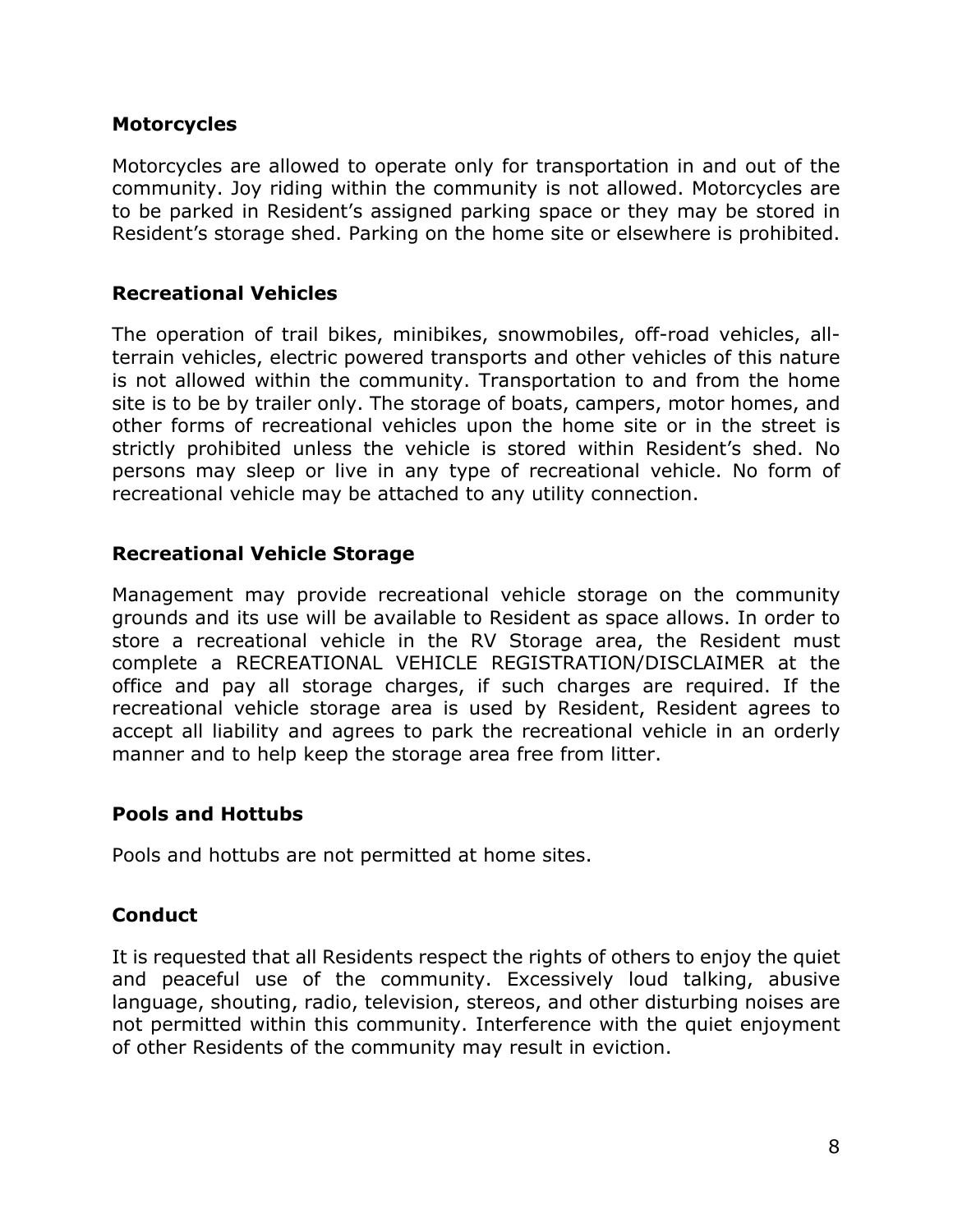#### **Motorcycles**

Motorcycles are allowed to operate only for transportation in and out of the community. Joy riding within the community is not allowed. Motorcycles are to be parked in Resident's assigned parking space or they may be stored in Resident's storage shed. Parking on the home site or elsewhere is prohibited.

#### **Recreational Vehicles**

The operation of trail bikes, minibikes, snowmobiles, off-road vehicles, allterrain vehicles, electric powered transports and other vehicles of this nature is not allowed within the community. Transportation to and from the home site is to be by trailer only. The storage of boats, campers, motor homes, and other forms of recreational vehicles upon the home site or in the street is strictly prohibited unless the vehicle is stored within Resident's shed. No persons may sleep or live in any type of recreational vehicle. No form of recreational vehicle may be attached to any utility connection.

#### **Recreational Vehicle Storage**

Management may provide recreational vehicle storage on the community grounds and its use will be available to Resident as space allows. In order to store a recreational vehicle in the RV Storage area, the Resident must complete a RECREATIONAL VEHICLE REGISTRATION/DISCLAIMER at the office and pay all storage charges, if such charges are required. If the recreational vehicle storage area is used by Resident, Resident agrees to accept all liability and agrees to park the recreational vehicle in an orderly manner and to help keep the storage area free from litter.

#### **Pools and Hottubs**

Pools and hottubs are not permitted at home sites.

# **Conduct**

It is requested that all Residents respect the rights of others to enjoy the quiet and peaceful use of the community. Excessively loud talking, abusive language, shouting, radio, television, stereos, and other disturbing noises are not permitted within this community. Interference with the quiet enjoyment of other Residents of the community may result in eviction.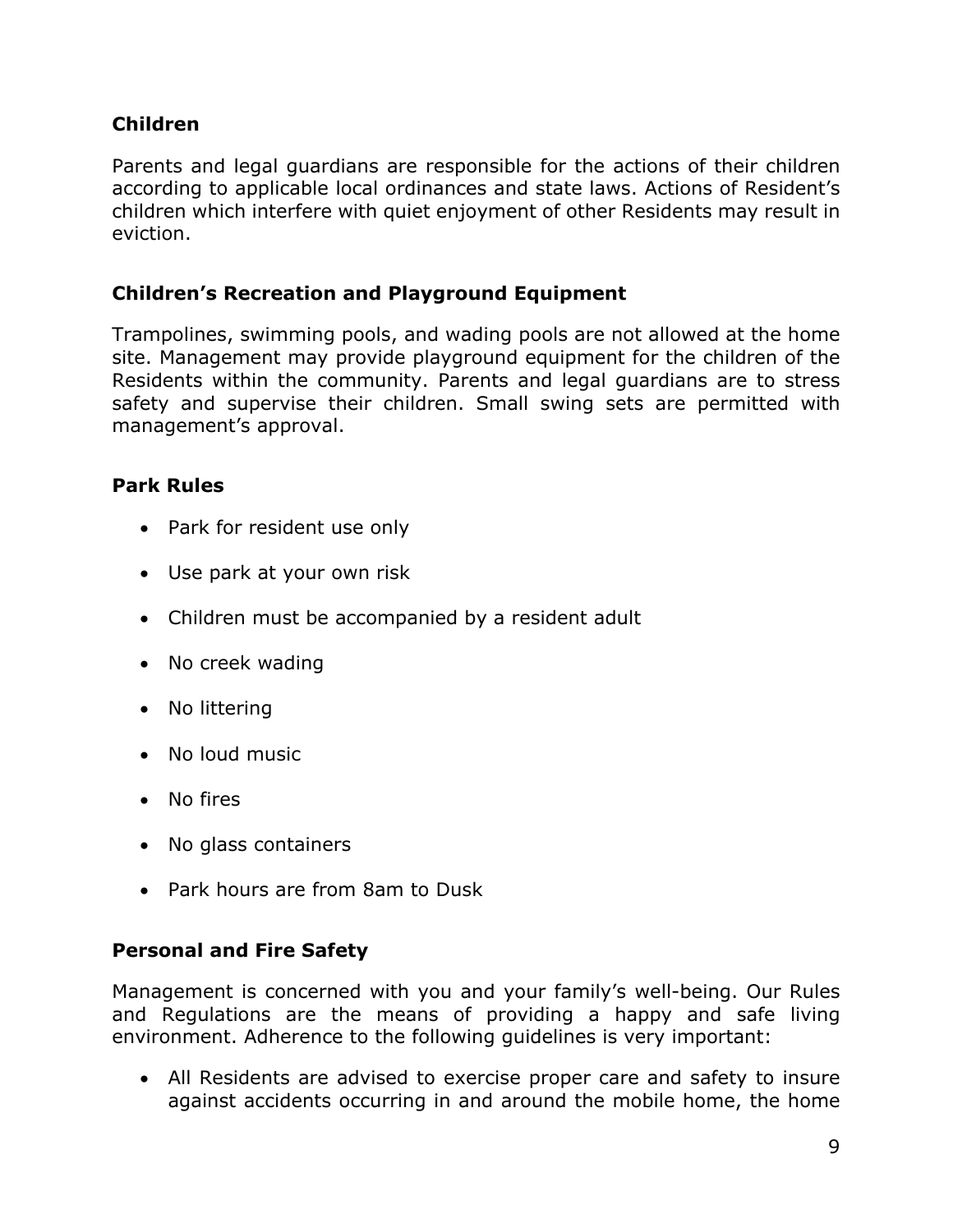# **Children**

Parents and legal guardians are responsible for the actions of their children according to applicable local ordinances and state laws. Actions of Resident's children which interfere with quiet enjoyment of other Residents may result in eviction.

# **Children's Recreation and Playground Equipment**

Trampolines, swimming pools, and wading pools are not allowed at the home site. Management may provide playground equipment for the children of the Residents within the community. Parents and legal guardians are to stress safety and supervise their children. Small swing sets are permitted with management's approval.

# **Park Rules**

- Park for resident use only
- Use park at your own risk
- Children must be accompanied by a resident adult
- No creek wading
- No littering
- No loud music
- No fires
- No glass containers
- Park hours are from 8am to Dusk

# **Personal and Fire Safety**

Management is concerned with you and your family's well-being. Our Rules and Regulations are the means of providing a happy and safe living environment. Adherence to the following guidelines is very important:

• All Residents are advised to exercise proper care and safety to insure against accidents occurring in and around the mobile home, the home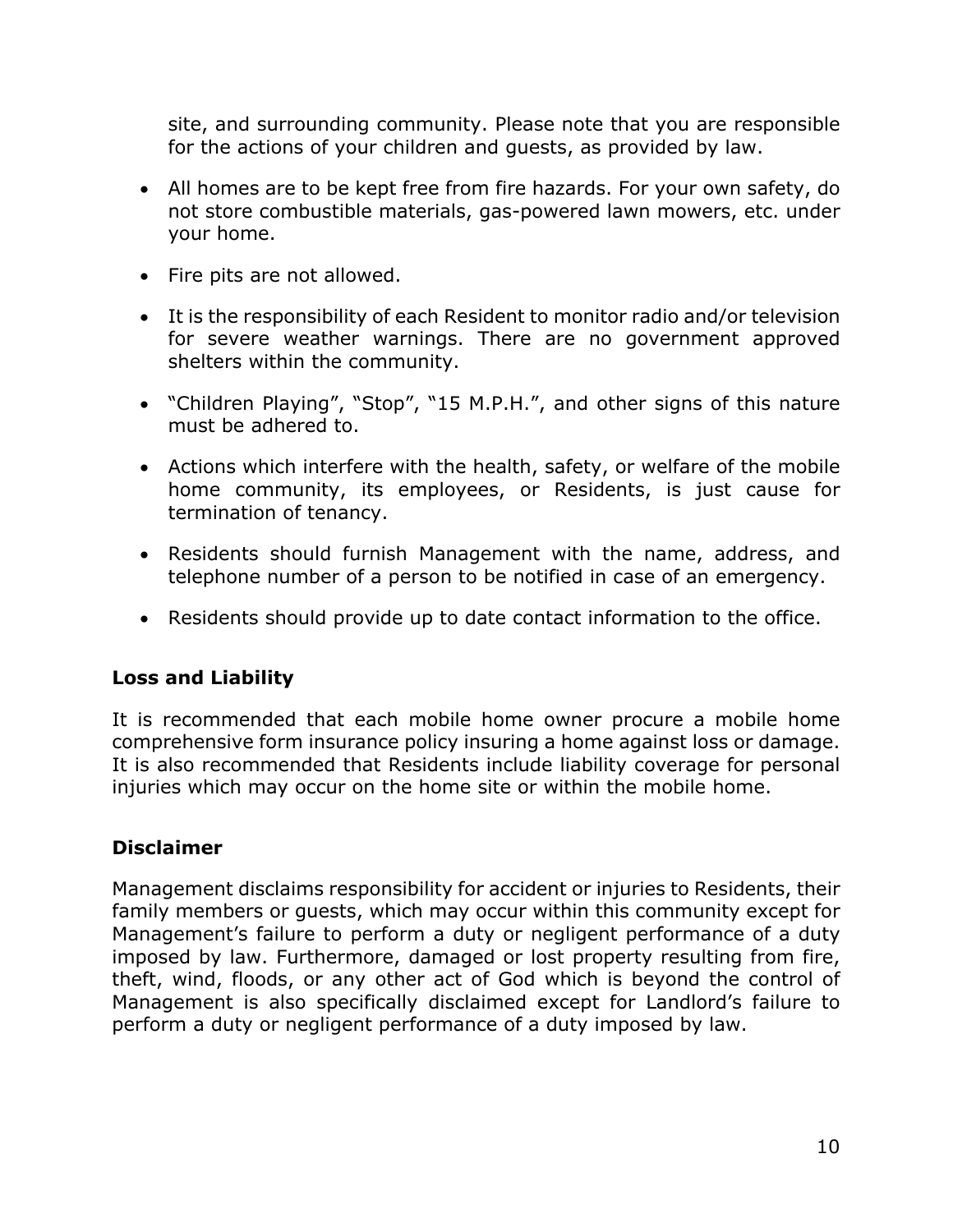site, and surrounding community. Please note that you are responsible for the actions of your children and guests, as provided by law.

- All homes are to be kept free from fire hazards. For your own safety, do not store combustible materials, gas-powered lawn mowers, etc. under your home.
- Fire pits are not allowed.
- It is the responsibility of each Resident to monitor radio and/or television for severe weather warnings. There are no government approved shelters within the community.
- "Children Playing", "Stop", "15 M.P.H.", and other signs of this nature must be adhered to.
- Actions which interfere with the health, safety, or welfare of the mobile home community, its employees, or Residents, is just cause for termination of tenancy.
- Residents should furnish Management with the name, address, and telephone number of a person to be notified in case of an emergency.
- Residents should provide up to date contact information to the office.

# **Loss and Liability**

It is recommended that each mobile home owner procure a mobile home comprehensive form insurance policy insuring a home against loss or damage. It is also recommended that Residents include liability coverage for personal injuries which may occur on the home site or within the mobile home.

# **Disclaimer**

Management disclaims responsibility for accident or injuries to Residents, their family members or guests, which may occur within this community except for Management's failure to perform a duty or negligent performance of a duty imposed by law. Furthermore, damaged or lost property resulting from fire, theft, wind, floods, or any other act of God which is beyond the control of Management is also specifically disclaimed except for Landlord's failure to perform a duty or negligent performance of a duty imposed by law.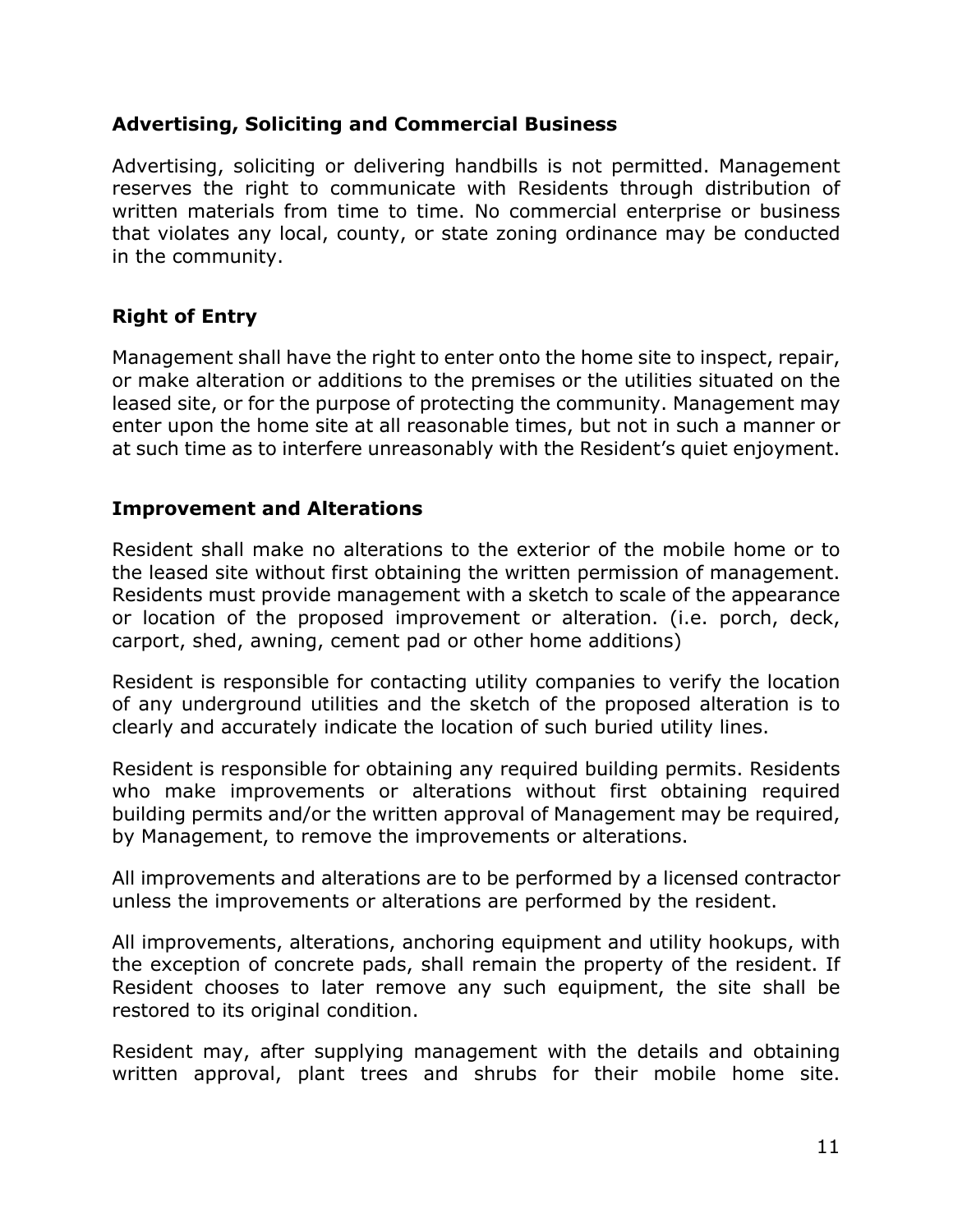#### **Advertising, Soliciting and Commercial Business**

Advertising, soliciting or delivering handbills is not permitted. Management reserves the right to communicate with Residents through distribution of written materials from time to time. No commercial enterprise or business that violates any local, county, or state zoning ordinance may be conducted in the community.

# **Right of Entry**

Management shall have the right to enter onto the home site to inspect, repair, or make alteration or additions to the premises or the utilities situated on the leased site, or for the purpose of protecting the community. Management may enter upon the home site at all reasonable times, but not in such a manner or at such time as to interfere unreasonably with the Resident's quiet enjoyment.

#### **Improvement and Alterations**

Resident shall make no alterations to the exterior of the mobile home or to the leased site without first obtaining the written permission of management. Residents must provide management with a sketch to scale of the appearance or location of the proposed improvement or alteration. (i.e. porch, deck, carport, shed, awning, cement pad or other home additions)

Resident is responsible for contacting utility companies to verify the location of any underground utilities and the sketch of the proposed alteration is to clearly and accurately indicate the location of such buried utility lines.

Resident is responsible for obtaining any required building permits. Residents who make improvements or alterations without first obtaining required building permits and/or the written approval of Management may be required, by Management, to remove the improvements or alterations.

All improvements and alterations are to be performed by a licensed contractor unless the improvements or alterations are performed by the resident.

All improvements, alterations, anchoring equipment and utility hookups, with the exception of concrete pads, shall remain the property of the resident. If Resident chooses to later remove any such equipment, the site shall be restored to its original condition.

Resident may, after supplying management with the details and obtaining written approval, plant trees and shrubs for their mobile home site.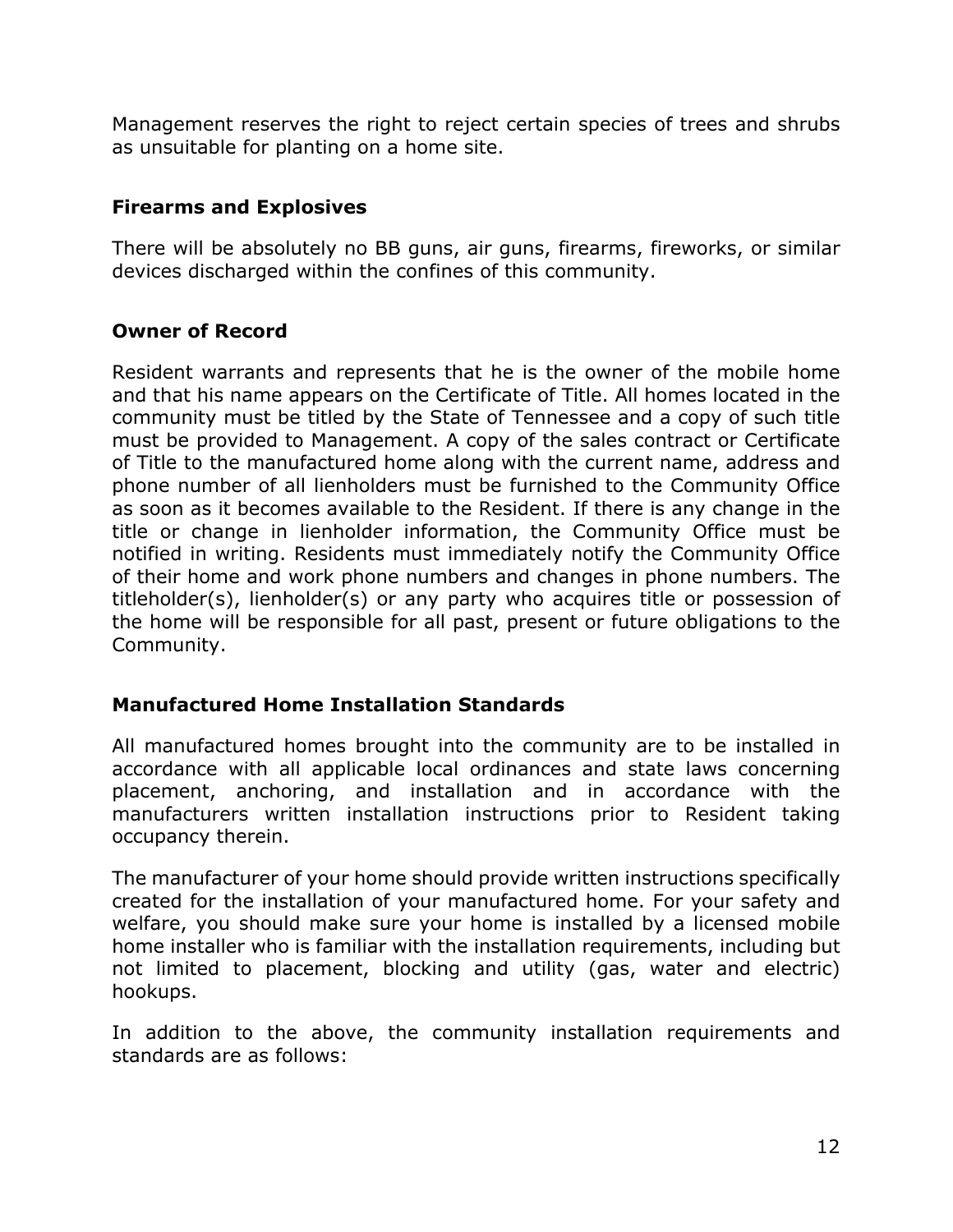Management reserves the right to reject certain species of trees and shrubs as unsuitable for planting on a home site.

# **Firearms and Explosives**

There will be absolutely no BB guns, air guns, firearms, fireworks, or similar devices discharged within the confines of this community.

# **Owner of Record**

Resident warrants and represents that he is the owner of the mobile home and that his name appears on the Certificate of Title. All homes located in the community must be titled by the State of Tennessee and a copy of such title must be provided to Management. A copy of the sales contract or Certificate of Title to the manufactured home along with the current name, address and phone number of all lienholders must be furnished to the Community Office as soon as it becomes available to the Resident. If there is any change in the title or change in lienholder information, the Community Office must be notified in writing. Residents must immediately notify the Community Office of their home and work phone numbers and changes in phone numbers. The titleholder(s), lienholder(s) or any party who acquires title or possession of the home will be responsible for all past, present or future obligations to the Community.

# **Manufactured Home Installation Standards**

All manufactured homes brought into the community are to be installed in accordance with all applicable local ordinances and state laws concerning placement, anchoring, and installation and in accordance with the manufacturers written installation instructions prior to Resident taking occupancy therein.

The manufacturer of your home should provide written instructions specifically created for the installation of your manufactured home. For your safety and welfare, you should make sure your home is installed by a licensed mobile home installer who is familiar with the installation requirements, including but not limited to placement, blocking and utility (gas, water and electric) hookups.

In addition to the above, the community installation requirements and standards are as follows: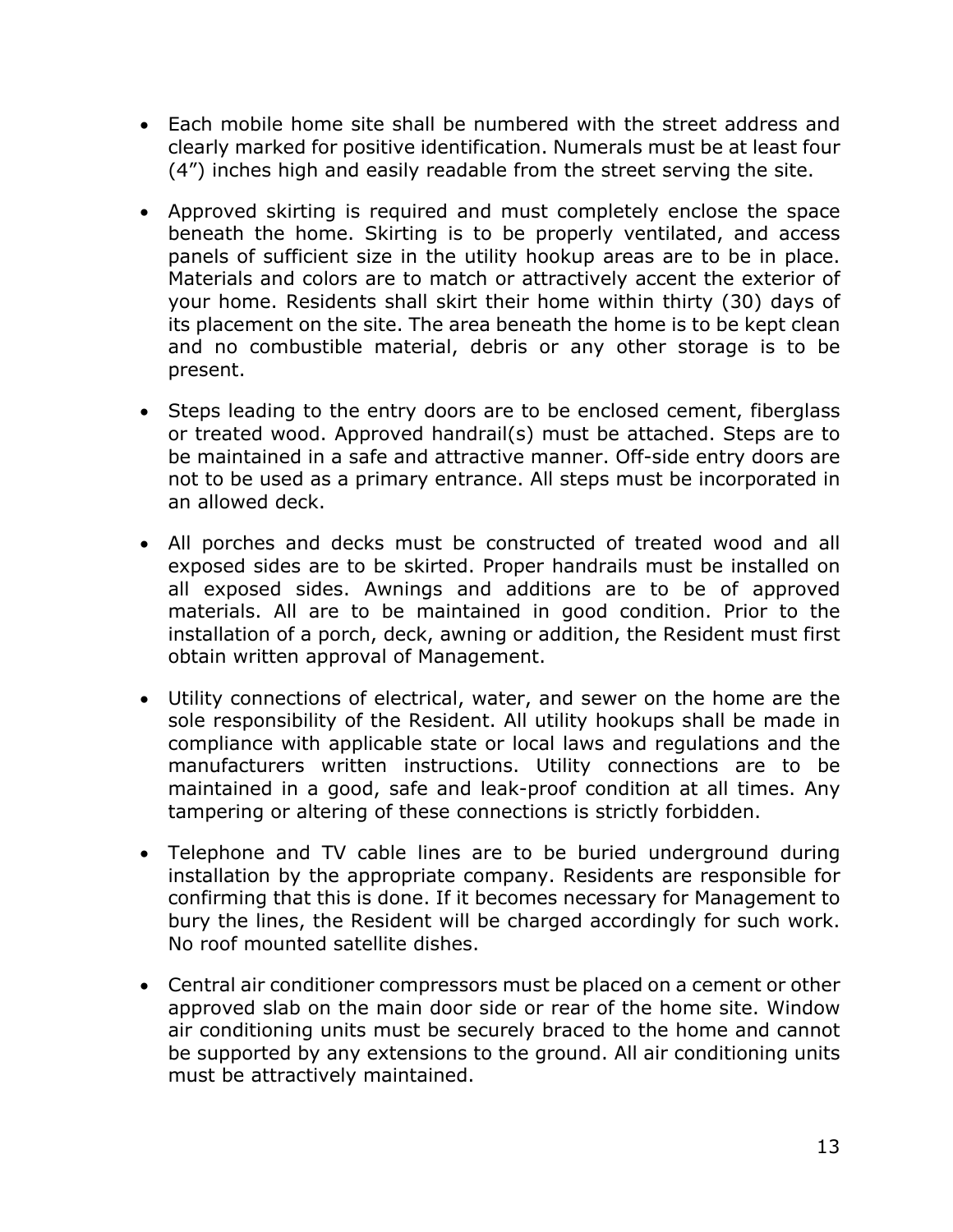- Each mobile home site shall be numbered with the street address and clearly marked for positive identification. Numerals must be at least four (4") inches high and easily readable from the street serving the site.
- Approved skirting is required and must completely enclose the space beneath the home. Skirting is to be properly ventilated, and access panels of sufficient size in the utility hookup areas are to be in place. Materials and colors are to match or attractively accent the exterior of your home. Residents shall skirt their home within thirty (30) days of its placement on the site. The area beneath the home is to be kept clean and no combustible material, debris or any other storage is to be present.
- Steps leading to the entry doors are to be enclosed cement, fiberglass or treated wood. Approved handrail(s) must be attached. Steps are to be maintained in a safe and attractive manner. Off-side entry doors are not to be used as a primary entrance. All steps must be incorporated in an allowed deck.
- All porches and decks must be constructed of treated wood and all exposed sides are to be skirted. Proper handrails must be installed on all exposed sides. Awnings and additions are to be of approved materials. All are to be maintained in good condition. Prior to the installation of a porch, deck, awning or addition, the Resident must first obtain written approval of Management.
- Utility connections of electrical, water, and sewer on the home are the sole responsibility of the Resident. All utility hookups shall be made in compliance with applicable state or local laws and regulations and the manufacturers written instructions. Utility connections are to be maintained in a good, safe and leak-proof condition at all times. Any tampering or altering of these connections is strictly forbidden.
- Telephone and TV cable lines are to be buried underground during installation by the appropriate company. Residents are responsible for confirming that this is done. If it becomes necessary for Management to bury the lines, the Resident will be charged accordingly for such work. No roof mounted satellite dishes.
- Central air conditioner compressors must be placed on a cement or other approved slab on the main door side or rear of the home site. Window air conditioning units must be securely braced to the home and cannot be supported by any extensions to the ground. All air conditioning units must be attractively maintained.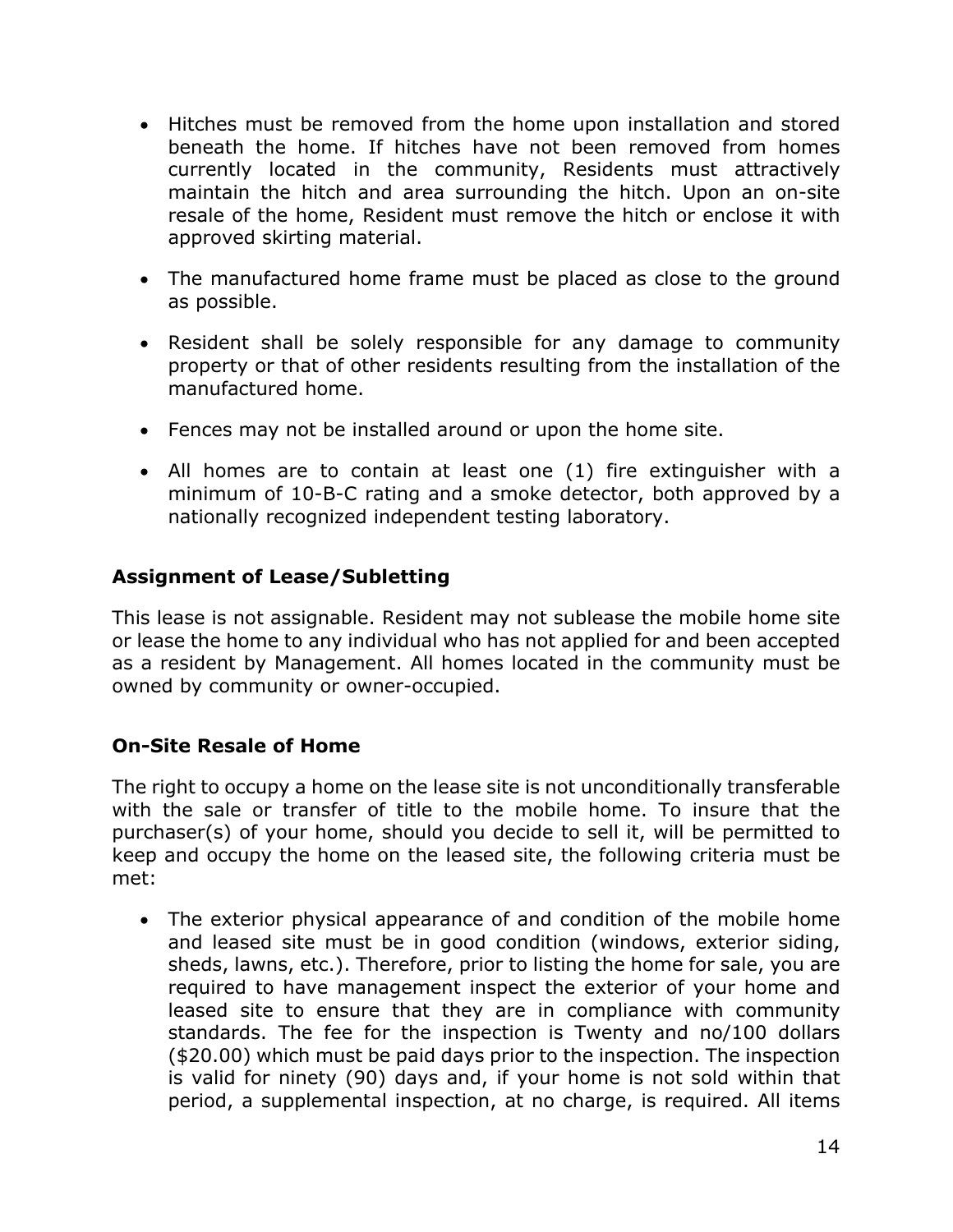- Hitches must be removed from the home upon installation and stored beneath the home. If hitches have not been removed from homes currently located in the community, Residents must attractively maintain the hitch and area surrounding the hitch. Upon an on-site resale of the home, Resident must remove the hitch or enclose it with approved skirting material.
- The manufactured home frame must be placed as close to the ground as possible.
- Resident shall be solely responsible for any damage to community property or that of other residents resulting from the installation of the manufactured home.
- Fences may not be installed around or upon the home site.
- All homes are to contain at least one (1) fire extinguisher with a minimum of 10-B-C rating and a smoke detector, both approved by a nationally recognized independent testing laboratory.

#### **Assignment of Lease/Subletting**

This lease is not assignable. Resident may not sublease the mobile home site or lease the home to any individual who has not applied for and been accepted as a resident by Management. All homes located in the community must be owned by community or owner-occupied.

# **On-Site Resale of Home**

The right to occupy a home on the lease site is not unconditionally transferable with the sale or transfer of title to the mobile home. To insure that the purchaser(s) of your home, should you decide to sell it, will be permitted to keep and occupy the home on the leased site, the following criteria must be met:

• The exterior physical appearance of and condition of the mobile home and leased site must be in good condition (windows, exterior siding, sheds, lawns, etc.). Therefore, prior to listing the home for sale, you are required to have management inspect the exterior of your home and leased site to ensure that they are in compliance with community standards. The fee for the inspection is Twenty and no/100 dollars (\$20.00) which must be paid days prior to the inspection. The inspection is valid for ninety (90) days and, if your home is not sold within that period, a supplemental inspection, at no charge, is required. All items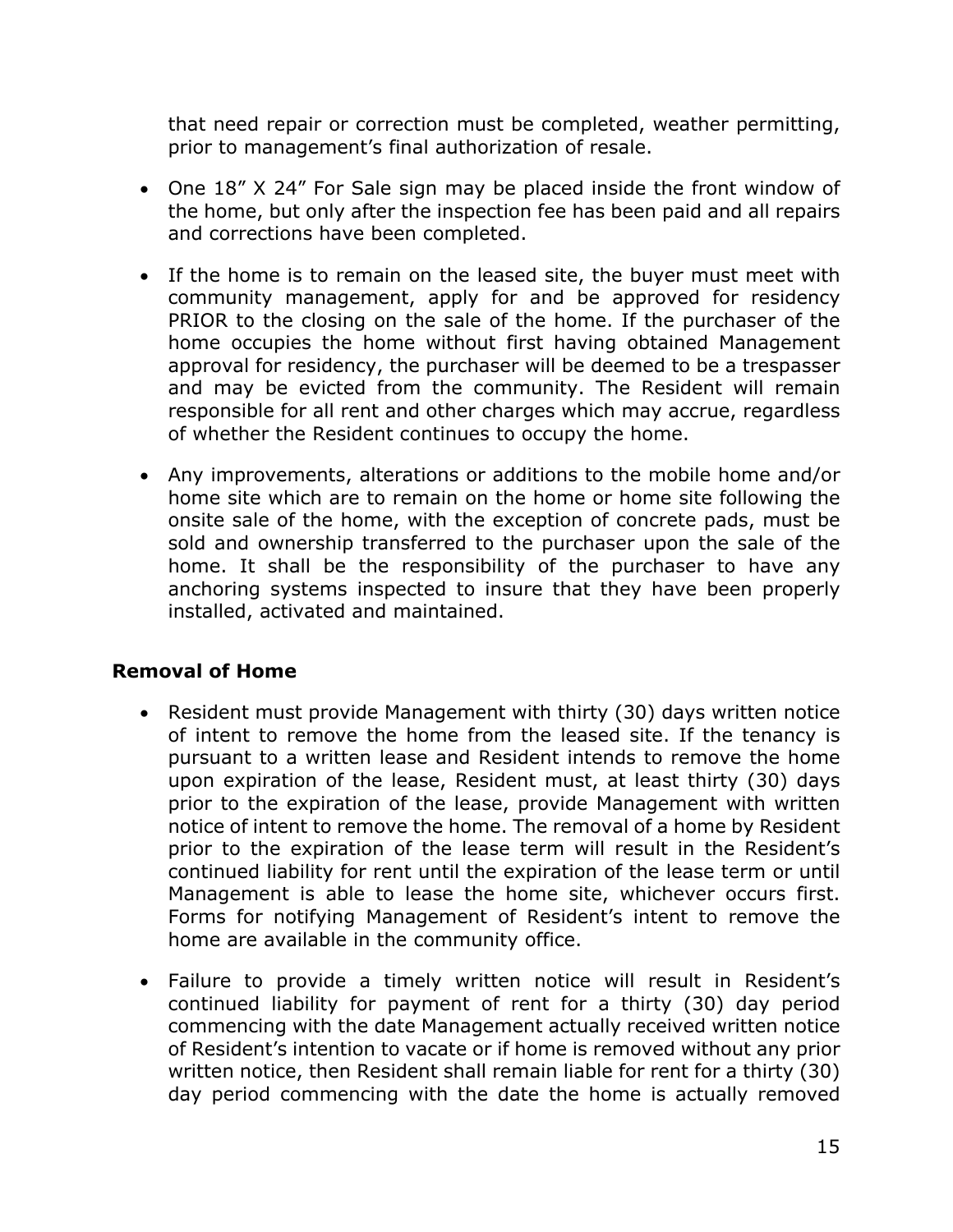that need repair or correction must be completed, weather permitting, prior to management's final authorization of resale.

- One 18" X 24" For Sale sign may be placed inside the front window of the home, but only after the inspection fee has been paid and all repairs and corrections have been completed.
- If the home is to remain on the leased site, the buyer must meet with community management, apply for and be approved for residency PRIOR to the closing on the sale of the home. If the purchaser of the home occupies the home without first having obtained Management approval for residency, the purchaser will be deemed to be a trespasser and may be evicted from the community. The Resident will remain responsible for all rent and other charges which may accrue, regardless of whether the Resident continues to occupy the home.
- Any improvements, alterations or additions to the mobile home and/or home site which are to remain on the home or home site following the onsite sale of the home, with the exception of concrete pads, must be sold and ownership transferred to the purchaser upon the sale of the home. It shall be the responsibility of the purchaser to have any anchoring systems inspected to insure that they have been properly installed, activated and maintained.

# **Removal of Home**

- Resident must provide Management with thirty (30) days written notice of intent to remove the home from the leased site. If the tenancy is pursuant to a written lease and Resident intends to remove the home upon expiration of the lease, Resident must, at least thirty (30) days prior to the expiration of the lease, provide Management with written notice of intent to remove the home. The removal of a home by Resident prior to the expiration of the lease term will result in the Resident's continued liability for rent until the expiration of the lease term or until Management is able to lease the home site, whichever occurs first. Forms for notifying Management of Resident's intent to remove the home are available in the community office.
- Failure to provide a timely written notice will result in Resident's continued liability for payment of rent for a thirty (30) day period commencing with the date Management actually received written notice of Resident's intention to vacate or if home is removed without any prior written notice, then Resident shall remain liable for rent for a thirty (30) day period commencing with the date the home is actually removed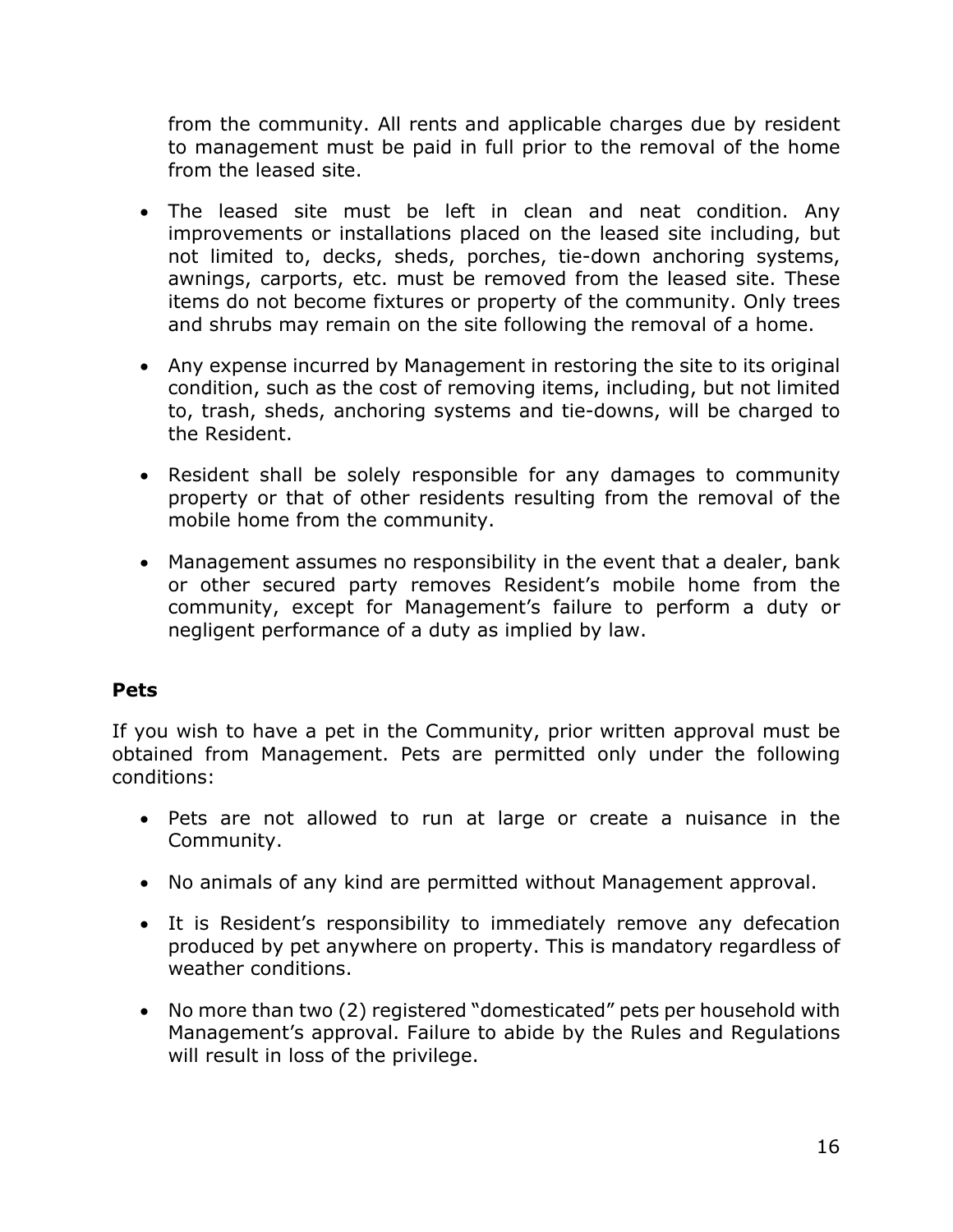from the community. All rents and applicable charges due by resident to management must be paid in full prior to the removal of the home from the leased site.

- The leased site must be left in clean and neat condition. Any improvements or installations placed on the leased site including, but not limited to, decks, sheds, porches, tie-down anchoring systems, awnings, carports, etc. must be removed from the leased site. These items do not become fixtures or property of the community. Only trees and shrubs may remain on the site following the removal of a home.
- Any expense incurred by Management in restoring the site to its original condition, such as the cost of removing items, including, but not limited to, trash, sheds, anchoring systems and tie-downs, will be charged to the Resident.
- Resident shall be solely responsible for any damages to community property or that of other residents resulting from the removal of the mobile home from the community.
- Management assumes no responsibility in the event that a dealer, bank or other secured party removes Resident's mobile home from the community, except for Management's failure to perform a duty or negligent performance of a duty as implied by law.

# **Pets**

If you wish to have a pet in the Community, prior written approval must be obtained from Management. Pets are permitted only under the following conditions:

- Pets are not allowed to run at large or create a nuisance in the Community.
- No animals of any kind are permitted without Management approval.
- It is Resident's responsibility to immediately remove any defecation produced by pet anywhere on property. This is mandatory regardless of weather conditions.
- No more than two (2) registered "domesticated" pets per household with Management's approval. Failure to abide by the Rules and Regulations will result in loss of the privilege.